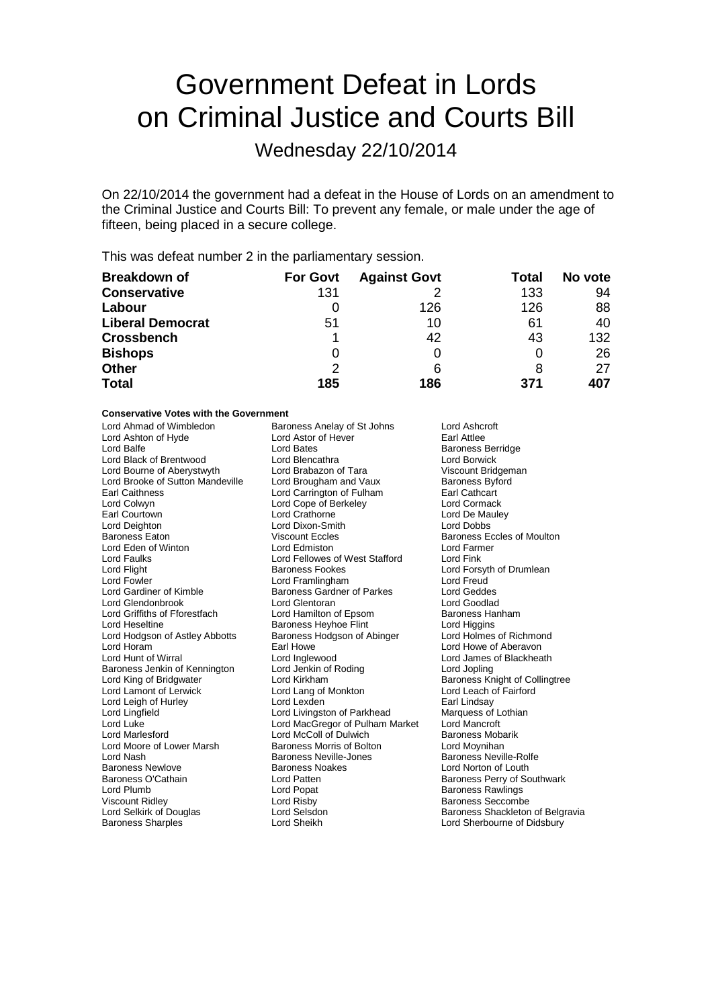# Government Defeat in Lords on Criminal Justice and Courts Bill

Wednesday 22/10/2014

On 22/10/2014 the government had a defeat in the House of Lords on an amendment to the Criminal Justice and Courts Bill: To prevent any female, or male under the age of fifteen, being placed in a secure college.

This was defeat number 2 in the parliamentary session.

| <b>Breakdown of</b>     | <b>For Govt</b> | <b>Against Govt</b> | Total | No vote |
|-------------------------|-----------------|---------------------|-------|---------|
| <b>Conservative</b>     | 131             |                     | 133   | 94      |
| Labour                  |                 | 126                 | 126   | 88      |
| <b>Liberal Democrat</b> | 51              | 10                  | 61    | 40      |
| <b>Crossbench</b>       |                 | 42                  | 43    | 132     |
| <b>Bishops</b>          | O               |                     |       | 26      |
| <b>Other</b>            | 2               | 6                   | 8     | 27      |
| <b>Total</b>            | 185             | 186                 | 371   | 407     |

#### **Conservative Votes with the Government**

| Lord Ashton of Hyde<br>Lord Balfe<br>Lord Black of Brentwood<br>Lord Bourne of Aberystwyth<br>Lord Brooke of Sutton Mandeville<br><b>Earl Caithness</b><br>Lord Colwyn<br>Earl Courtown<br>Lord Deighton<br><b>Baroness Eaton</b><br>Lord Eden of Winton<br><b>Lord Faulks</b><br>Lord Flight<br><b>Lord Fowler</b><br>Lord Gardiner of Kimble<br>Lord Glendonbrook<br>Lord Griffiths of Fforestfach<br>Lord Heseltine<br>Lord Hodgson of Astley Abbotts<br>Lord Horam<br>Lord Hunt of Wirral<br>Baroness Jenkin of Kennington<br>Lord King of Bridgwater<br>Lord Lamont of Lerwick<br>Lord Leigh of Hurley<br>Lord Lingfield<br>Lord Luke<br><b>Lord Marlesford</b><br>Lord Moore of Lower Marsh<br>Lord Nash<br><b>Baroness Newlove</b><br>Baroness O'Cathain<br>Lord Plumb<br><b>Viscount Ridley</b> | Lord Bates<br>Lord Blencathra<br>Lord Brabazon of Tara<br>Lord Brougham and Vaux<br>Lord Carrington of Fulham<br>Lord Cope of Berkeley<br>Lord Crathorne<br>Lord Dixon-Smith<br><b>Viscount Eccles</b><br>Lord Edmiston<br>Lord Fellowes of West Stafford<br>Baroness Fookes<br>Lord Framlingham<br><b>Baroness Gardner of Parkes</b><br>Lord Glentoran<br>Lord Hamilton of Epsom<br><b>Baroness Heyhoe Flint</b><br>Baroness Hodgson of Abinger<br>Earl Howe<br>Lord Inglewood<br>Lord Jenkin of Roding<br>Lord Kirkham<br>Lord Lang of Monkton<br>Lord Lexden<br>Lord Livingston of Parkhead<br>Lord MacGregor of Pulham Market<br>Lord McColl of Dulwich<br>Baroness Morris of Bolton<br><b>Baroness Neville-Jones</b><br>Baroness Noakes<br>Lord Patten<br>Lord Popat<br>Lord Risby | <b>Baroness Berridge</b><br>Lord Borwick<br>Viscount Bridgeman<br><b>Baroness Byford</b><br>Earl Cathcart<br>Lord Cormack<br>Lord De Mauley<br><b>Lord Dobbs</b><br>Baroness Eccles of Moulton<br>Lord Farmer<br>Lord Fink<br>Lord Forsyth of Drumlean<br>Lord Freud<br>Lord Geddes<br>Lord Goodlad<br>Baroness Hanham<br>Lord Higgins<br>Lord Holmes of Richmond<br>Lord Howe of Aberavon<br>Lord James of Blackheath<br>Lord Jopling<br>Baroness Knight of Collingtree<br>Lord Leach of Fairford<br>Earl Lindsay<br>Marquess of Lothian<br>Lord Mancroft<br>Baroness Mobarik<br>Lord Moynihan<br><b>Baroness Neville-Rolfe</b><br>Lord Norton of Louth<br>Baroness Perry of Southwark<br><b>Baroness Rawlings</b><br><b>Baroness Seccombe</b> |
|---------------------------------------------------------------------------------------------------------------------------------------------------------------------------------------------------------------------------------------------------------------------------------------------------------------------------------------------------------------------------------------------------------------------------------------------------------------------------------------------------------------------------------------------------------------------------------------------------------------------------------------------------------------------------------------------------------------------------------------------------------------------------------------------------------|-----------------------------------------------------------------------------------------------------------------------------------------------------------------------------------------------------------------------------------------------------------------------------------------------------------------------------------------------------------------------------------------------------------------------------------------------------------------------------------------------------------------------------------------------------------------------------------------------------------------------------------------------------------------------------------------------------------------------------------------------------------------------------------------|-------------------------------------------------------------------------------------------------------------------------------------------------------------------------------------------------------------------------------------------------------------------------------------------------------------------------------------------------------------------------------------------------------------------------------------------------------------------------------------------------------------------------------------------------------------------------------------------------------------------------------------------------------------------------------------------------------------------------------------------------|
| Lord Selkirk of Douglas                                                                                                                                                                                                                                                                                                                                                                                                                                                                                                                                                                                                                                                                                                                                                                                 | Lord Selsdon                                                                                                                                                                                                                                                                                                                                                                                                                                                                                                                                                                                                                                                                                                                                                                            | Baroness Shackleton of Belgravia                                                                                                                                                                                                                                                                                                                                                                                                                                                                                                                                                                                                                                                                                                                |
| <b>Baroness Sharples</b>                                                                                                                                                                                                                                                                                                                                                                                                                                                                                                                                                                                                                                                                                                                                                                                | Lord Sheikh                                                                                                                                                                                                                                                                                                                                                                                                                                                                                                                                                                                                                                                                                                                                                                             | Lord Sherbourne of Didsbury                                                                                                                                                                                                                                                                                                                                                                                                                                                                                                                                                                                                                                                                                                                     |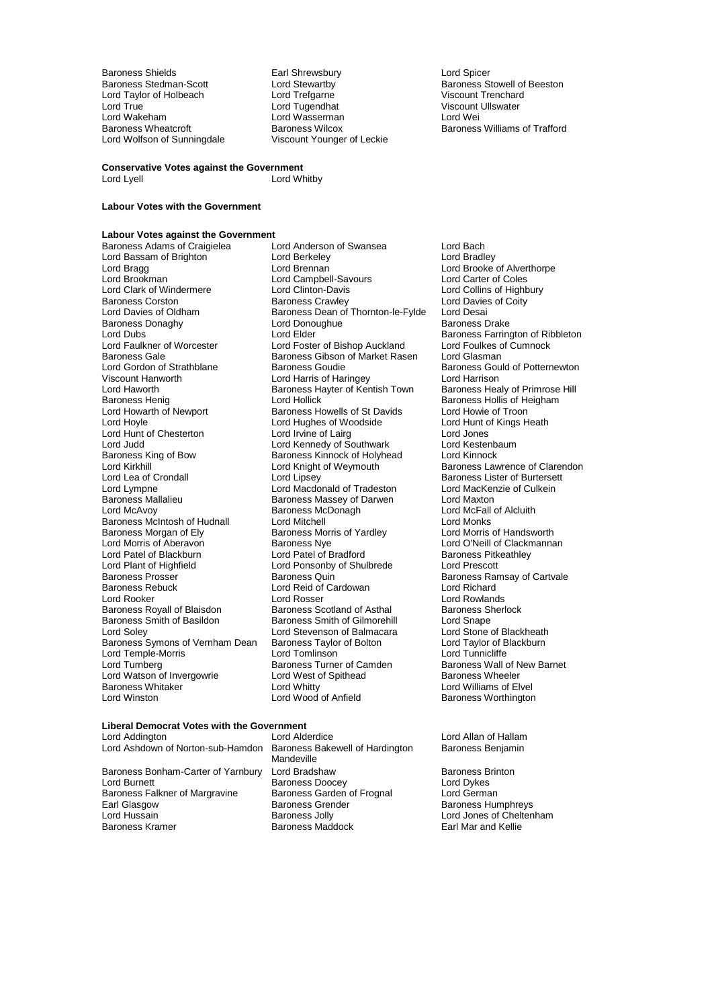Lord Taylor of Holbeach Lord Trefgarne<br>
Lord True<br>
Lord Tugendhat Lord True Lord Tugendhat Miscount Ullswater<br>
Lord True Lord Tugendhat Lord Wasserman<br>
Lord Wakeham Lord Wasserman Lord Wei Lord Wakeham<br>Baroness Wheatcroft **Chamber Baroness Wilcox** Lord Wolfson of Sunningdale

Baroness Shields Earl Shrewsbury Lord Spicer Baroness Wilcox **Baroness Williams of Trafford**<br>Viscount Younger of Leckie

Lord Stewartby **Baroness Stowell of Beeston**<br>
Lord Trefgarne **Baroness Stowell of Beeston** 

#### **Conservative Votes against the Government** Lord Whitby

### **Labour Votes with the Government**

### **Labour Votes against the Government**

Lord Bassam of Brighton Lord Berkeley<br>
Lord Bragg<br>
Lord Brennan Lord Brookman Lord Campbell-Savours<br>
Lord Clark of Windermere Lord Clinton-Davis Baroness Donaghy Lord Donoughue Baroness Donaghy<br>Lord Dubs Baroness Lord Elder Baroness Gale<br>
Lord Gordon of Strathblane<br>
Baroness Goudie<br>
Baroness Goudie Lord Haworth **Baroness Hayter of Kentish Town**<br>
Baroness Henig **Frimma**<br>
Baroness Henig **Frimma**<br>
Lord Hollick Baroness King of Bow Baroness Kinnock of Holyhead<br>
Lord Kirkhill<br>
Lord Knight of Weymouth Baroness Morgan of Ely Baroness Morris of Aberavon<br>
Lord Morris of Aberavon<br>
Baroness Nye Lord Plant of Highfield Lord Ponsonby of Shulbrede<br>
Baroness Prosser Baroness Quin Baroness Rebuck Lord Reid of Cardowan<br>Lord Rooker Lord Rosser Lord Watson of Invergowrie Lord West of Baroness Whitaker **bluest** contained Baroness Whitaker Baroness Whitaker <br>
Lord Whitaker Lord Whitty Lord Whitty<br>
Lord Wood of Anfield Baroness Worthingtor<br>
Baroness Worthingtor

Baroness Adams of Craigielea Lord Anderson of Swansea Lord Bach<br>
Lord Bassam of Brighton Lord Berkelev<br>
Lord Bassam of Brighton Lord Berkelev Lord Bragg **Lord Brennan** Lord Brennan Lord Brooke of Alverthorpe<br>
Lord Brookman **Lord Campbell-Savours** Lord Carter of Coles Lord Clark of Windermere Lord Clinton-Davis Lord Collins of Highbury<br>
Baroness Corston Baroness Crawley Lord Davies of Coity Baroness Corston **Baroness Crawley** Lord Davies of Coity<br>
Lord Davies of Oldham **Baroness Dean of Thornton-le-Fylde** Lord Desai Baroness Dean of Thornton-le-Fylde Lord Desai<br>Lord Donoughue Baroness Drake Lord Dubs Lord Elder Elder Baroness Farrington of Ribbleton<br>
Lord Faulkner of Worcester Lord Foster of Bishop Auckland Lord Foulkes of Cumnock Lord Faulkner of Worcester Lord Foster of Bishop Auckland Lord Foulkes c<br>Baroness Gale Cumnock Baroness Gibson of Market Rasen Lord Glasman Lord Gordon of Strathblane **Baroness Goudie Corporation** Baroness Gould of Potternewton<br>
Lord Haroness Gould of Potternewton<br>
Lord Harrison Viscount Hanworth **Collact Lord Harris of Haringey** Lord Harrison<br>
Lord Haworth **Collact Hartis Collact Hartis Corporate Hartis** Lord Harrison<br>
Lord Haworth **Collact Hartis Collact Hartis Collact Hartis Collact Hartis Coll** Baroness Henig Lord Hollick (Baroness Hollis of Heigham<br>
Lord Howarth of Newport Baroness Howells of St Davids Lord Howie of Troon Baroness Howells of St Davids<br>
Lord Hughes of Woodside<br>
Lord Hunt of Kings Heath Lord Hoyle **Lord Hughes of Woodside** Lord Hunt of Chesterton **Lord Hunt Cord Hunt of Chesterton** Lord Jones Lord Hunt of Chesterton Lord Irvine of Lairg<br>
Lord Judd<br>
Lord Judd Cord Kennedy of Southwark Lord Kestenbaum Lord Judd United Southwark Lord Kestenbaum Lord Kennedy of Southwark Lord Kestenbaum Lord Kinnock Baroness Kinnock of Holyhead Lord Kinnock Lord Kirkhill Lord Knight of Weymouth Baroness Lawrence of Clarendon<br>Lord Lea of Crondall Lord Lipsey Lord Lipsey Baroness Lister of Burtersett Lord Lea of Crondall Lord Lipsey Corress Lister of Burtersett<br>
Lord Lympne Corress Lister of Culkein<br>
Lord Lympne Culkein Lord Lympne Lord Macdonald of Tradeston Lord MacKer<br>
Baroness Mallalieu Baroness Massey of Darwen Lord Maxton Baroness Mallalieu **Baroness Massey of Darwen** Lord Maxton<br>
Lord McAvoy **Caroness McDonagh** Lord McFall of Alcluith Lord McAvoy Baroness McDonagh Lord McFall of Alcluith Baroness McIntosh of Hudnall Lord Mitchell Corp Lord Monks<br>Baroness Morgan of Elv Baroness Morris of Yardlev Lord Morris of Handsworth **Baroness Nye Lord O'Neill of Clackmannan**<br>
Lord Patel of Bradford<br>
Baroness Pitkeathley Lord Patel of Blackburn Lord Patel of Bradford Baroness Pitke<br>
Lord Plant of Highfield Lord Ponsonby of Shulbrede Lord Prescott Baroness Prosser **Baroness Access** Baroness Quin Baroness Ramsay of Cartvale<br>Baroness Rebuck **Baroness Baroness Contracts** Lord Richard Lord Richard Lord Rosser<br>
Baroness Scotland of Asthal
Baroness Sherlock Baroness Royall of Blaisdon<br>
Baroness Smith of Basildon<br>
Baroness Smith of Gilmorehill
Baroness Smith of Gilmorehill
Baroness Smith of Gilmorehill
Baroness Smith of Gilmorehil Baroness Smith of Gilmorehill Lord Snape<br>Lord Stevenson of Balmacara Lord Stone of Blackheath Lord Soley **Lord Stevenson of Balmacara** Lord Stone of Blackheath<br>Baroness Symons of Vernham Dean Baroness Taylor of Bolton Lord Taylor of Blackburn Baroness Symons of Vernham Dean Baroness Taylor of Bolton Lord Taylor of B<br>Lord Temple-Morris Lord Tomlinson Lord Tomlinson Lord Tunnicliffe Lord Temple-Morris Lord Tomlinson Lord Tunnicliffe Exaroness Turner of Camden Baroness Wall of New Baroness Wheeler<br>
Lord West of Spithead Baroness Wheeler

Baroness Worthington

# **Liberal Democrat Votes with the Government**

| Lord Addington<br>Lord Ashdown of Norton-sub-Hamdon                                                                                     |  |
|-----------------------------------------------------------------------------------------------------------------------------------------|--|
| Baroness Bonham-Carter of Yarnbury<br>Lord Burnett<br>Baroness Falkner of Margravine<br>Earl Glasgow<br>Lord Hussain<br>Baroness Kramer |  |

Baroness Bakewell of Hardington Mandeville Lord Bradshaw<br>
Baroness Doocey<br>
Lord Dykes<br>
Lord Dykes Baroness Doocey<br>
Baroness Garden of Frognal
Lord German Baroness Garden of Frognal<br>Baroness Grender Examples Jolly **Lord Jones of Cheltenham**<br> **Earl Mar and Kellie**<br> **Earl Mar and Kellie** Baroness Maddock

Lord Allan of Hallam<br>Baroness Benjamin

Baroness Humphreys